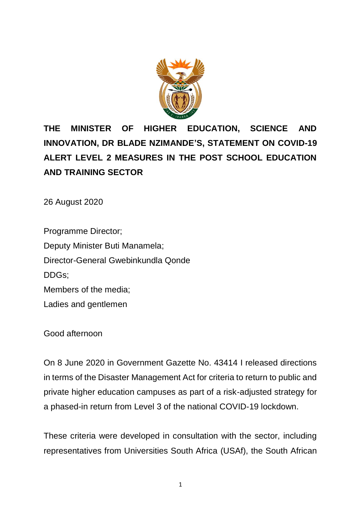

# **THE MINISTER OF HIGHER EDUCATION, SCIENCE AND INNOVATION, DR BLADE NZIMANDE'S, STATEMENT ON COVID-19 ALERT LEVEL 2 MEASURES IN THE POST SCHOOL EDUCATION AND TRAINING SECTOR**

26 August 2020

Programme Director; Deputy Minister Buti Manamela; Director-General Gwebinkundla Qonde DDGs; Members of the media; Ladies and gentlemen

Good afternoon

On 8 June 2020 in Government Gazette No. 43414 I released directions in terms of the Disaster Management Act for criteria to return to public and private higher education campuses as part of a risk-adjusted strategy for a phased-in return from Level 3 of the national COVID-19 lockdown.

These criteria were developed in consultation with the sector, including representatives from Universities South Africa (USAf), the South African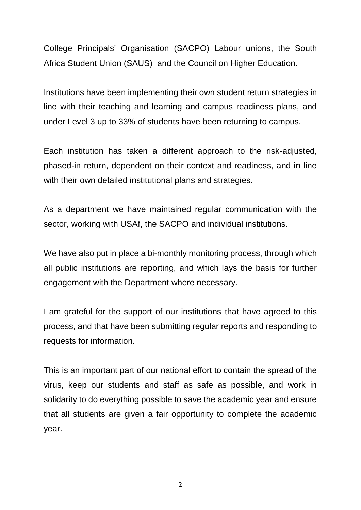College Principals' Organisation (SACPO) Labour unions, the South Africa Student Union (SAUS) and the Council on Higher Education.

Institutions have been implementing their own student return strategies in line with their teaching and learning and campus readiness plans, and under Level 3 up to 33% of students have been returning to campus.

Each institution has taken a different approach to the risk-adjusted, phased-in return, dependent on their context and readiness, and in line with their own detailed institutional plans and strategies.

As a department we have maintained regular communication with the sector, working with USAf, the SACPO and individual institutions.

We have also put in place a bi-monthly monitoring process, through which all public institutions are reporting, and which lays the basis for further engagement with the Department where necessary.

I am grateful for the support of our institutions that have agreed to this process, and that have been submitting regular reports and responding to requests for information.

This is an important part of our national effort to contain the spread of the virus, keep our students and staff as safe as possible, and work in solidarity to do everything possible to save the academic year and ensure that all students are given a fair opportunity to complete the academic year.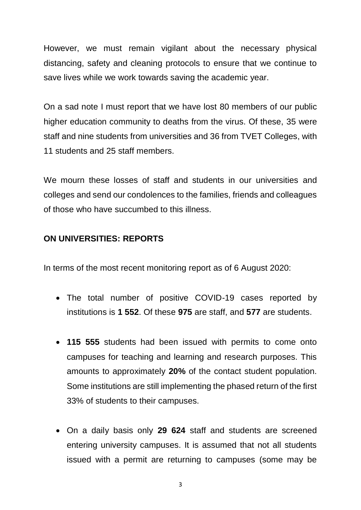However, we must remain vigilant about the necessary physical distancing, safety and cleaning protocols to ensure that we continue to save lives while we work towards saving the academic year.

On a sad note I must report that we have lost 80 members of our public higher education community to deaths from the virus. Of these, 35 were staff and nine students from universities and 36 from TVET Colleges, with 11 students and 25 staff members.

We mourn these losses of staff and students in our universities and colleges and send our condolences to the families, friends and colleagues of those who have succumbed to this illness.

#### **ON UNIVERSITIES: REPORTS**

In terms of the most recent monitoring report as of 6 August 2020:

- The total number of positive COVID-19 cases reported by institutions is **1 552**. Of these **975** are staff, and **577** are students.
- **115 555** students had been issued with permits to come onto campuses for teaching and learning and research purposes. This amounts to approximately **20%** of the contact student population. Some institutions are still implementing the phased return of the first 33% of students to their campuses.
- On a daily basis only **29 624** staff and students are screened entering university campuses. It is assumed that not all students issued with a permit are returning to campuses (some may be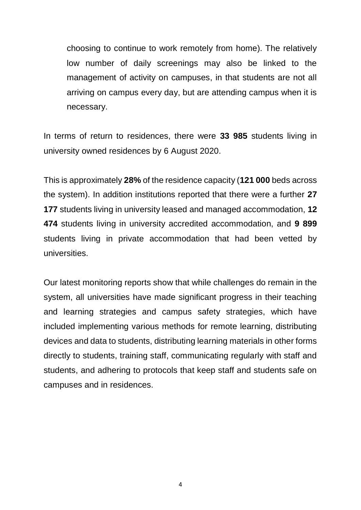choosing to continue to work remotely from home). The relatively low number of daily screenings may also be linked to the management of activity on campuses, in that students are not all arriving on campus every day, but are attending campus when it is necessary.

In terms of return to residences, there were **33 985** students living in university owned residences by 6 August 2020.

This is approximately **28%** of the residence capacity (**121 000** beds across the system). In addition institutions reported that there were a further **27 177** students living in university leased and managed accommodation, **12 474** students living in university accredited accommodation, and **9 899** students living in private accommodation that had been vetted by universities.

Our latest monitoring reports show that while challenges do remain in the system, all universities have made significant progress in their teaching and learning strategies and campus safety strategies, which have included implementing various methods for remote learning, distributing devices and data to students, distributing learning materials in other forms directly to students, training staff, communicating regularly with staff and students, and adhering to protocols that keep staff and students safe on campuses and in residences.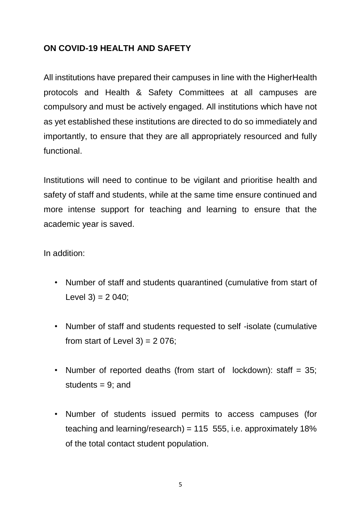## **ON COVID-19 HEALTH AND SAFETY**

All institutions have prepared their campuses in line with the HigherHealth protocols and Health & Safety Committees at all campuses are compulsory and must be actively engaged. All institutions which have not as yet established these institutions are directed to do so immediately and importantly, to ensure that they are all appropriately resourced and fully functional.

Institutions will need to continue to be vigilant and prioritise health and safety of staff and students, while at the same time ensure continued and more intense support for teaching and learning to ensure that the academic year is saved.

In addition:

- Number of staff and students quarantined (cumulative from start of Level  $3$ ) = 2 040;
- Number of staff and students requested to self -isolate (cumulative from start of Level  $3$ ) = 2 076;
- Number of reported deaths (from start of lockdown): staff = 35; students  $= 9$ ; and
- Number of students issued permits to access campuses (for teaching and learning/research) =  $115, 555$ , i.e. approximately  $18\%$ of the total contact student population.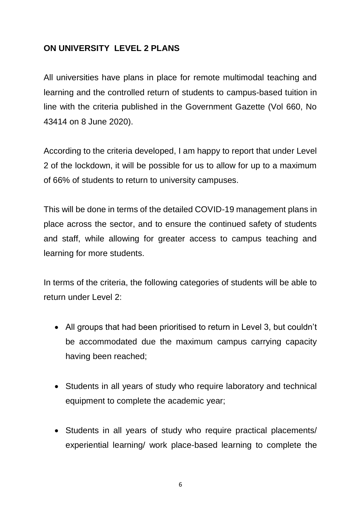### **ON UNIVERSITY LEVEL 2 PLANS**

All universities have plans in place for remote multimodal teaching and learning and the controlled return of students to campus-based tuition in line with the criteria published in the Government Gazette (Vol 660, No 43414 on 8 June 2020).

According to the criteria developed, I am happy to report that under Level 2 of the lockdown, it will be possible for us to allow for up to a maximum of 66% of students to return to university campuses.

This will be done in terms of the detailed COVID-19 management plans in place across the sector, and to ensure the continued safety of students and staff, while allowing for greater access to campus teaching and learning for more students.

In terms of the criteria, the following categories of students will be able to return under Level 2:

- All groups that had been prioritised to return in Level 3, but couldn't be accommodated due the maximum campus carrying capacity having been reached;
- Students in all years of study who require laboratory and technical equipment to complete the academic year;
- Students in all years of study who require practical placements/ experiential learning/ work place-based learning to complete the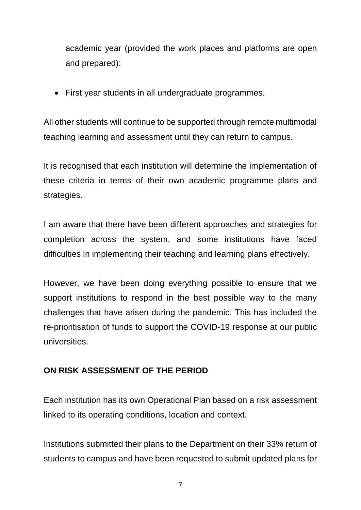academic year (provided the work places and platforms are open and prepared);

First year students in all undergraduate programmes.

All other students will continue to be supported through remote multimodal teaching learning and assessment until they can return to campus.

It is recognised that each institution will determine the implementation of these criteria in terms of their own academic programme plans and strategies.

I am aware that there have been different approaches and strategies for completion across the system, and some institutions have faced difficulties in implementing their teaching and learning plans effectively.

However, we have been doing everything possible to ensure that we support institutions to respond in the best possible way to the many challenges that have arisen during the pandemic. This has included the re-prioritisation of funds to support the COVID-19 response at our public universities.

## **ON RISK ASSESSMENT OF THE PERIOD**

Each institution has its own Operational Plan based on a risk assessment linked to its operating conditions, location and context.

Institutions submitted their plans to the Department on their 33% return of students to campus and have been requested to submit updated plans for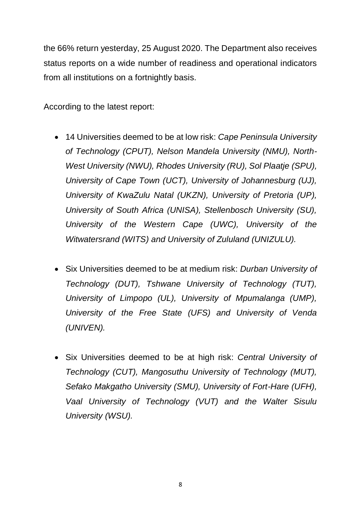the 66% return yesterday, 25 August 2020. The Department also receives status reports on a wide number of readiness and operational indicators from all institutions on a fortnightly basis.

According to the latest report:

- 14 Universities deemed to be at low risk: *Cape Peninsula University of Technology (CPUT), Nelson Mandela University (NMU), North-West University (NWU), Rhodes University (RU), Sol Plaatje (SPU), University of Cape Town (UCT), University of Johannesburg (UJ), University of KwaZulu Natal (UKZN), University of Pretoria (UP), University of South Africa (UNISA), Stellenbosch University (SU), University of the Western Cape (UWC), University of the Witwatersrand (WITS) and University of Zululand (UNIZULU).*
- Six Universities deemed to be at medium risk: *Durban University of Technology (DUT), Tshwane University of Technology (TUT), University of Limpopo (UL), University of Mpumalanga (UMP), University of the Free State (UFS) and University of Venda (UNIVEN).*
- Six Universities deemed to be at high risk: *Central University of Technology (CUT), Mangosuthu University of Technology (MUT), Sefako Makgatho University (SMU), University of Fort-Hare (UFH), Vaal University of Technology (VUT) and the Walter Sisulu University (WSU).*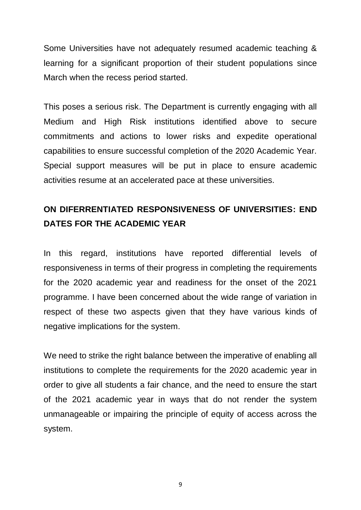Some Universities have not adequately resumed academic teaching & learning for a significant proportion of their student populations since March when the recess period started.

This poses a serious risk. The Department is currently engaging with all Medium and High Risk institutions identified above to secure commitments and actions to lower risks and expedite operational capabilities to ensure successful completion of the 2020 Academic Year. Special support measures will be put in place to ensure academic activities resume at an accelerated pace at these universities.

# **ON DIFERRENTIATED RESPONSIVENESS OF UNIVERSITIES: END DATES FOR THE ACADEMIC YEAR**

In this regard, institutions have reported differential levels of responsiveness in terms of their progress in completing the requirements for the 2020 academic year and readiness for the onset of the 2021 programme. I have been concerned about the wide range of variation in respect of these two aspects given that they have various kinds of negative implications for the system.

We need to strike the right balance between the imperative of enabling all institutions to complete the requirements for the 2020 academic year in order to give all students a fair chance, and the need to ensure the start of the 2021 academic year in ways that do not render the system unmanageable or impairing the principle of equity of access across the system.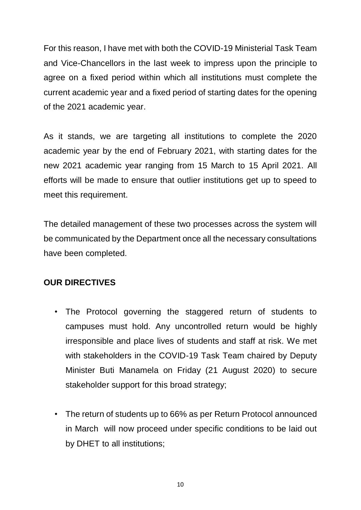For this reason, I have met with both the COVID-19 Ministerial Task Team and Vice-Chancellors in the last week to impress upon the principle to agree on a fixed period within which all institutions must complete the current academic year and a fixed period of starting dates for the opening of the 2021 academic year.

As it stands, we are targeting all institutions to complete the 2020 academic year by the end of February 2021, with starting dates for the new 2021 academic year ranging from 15 March to 15 April 2021. All efforts will be made to ensure that outlier institutions get up to speed to meet this requirement.

The detailed management of these two processes across the system will be communicated by the Department once all the necessary consultations have been completed.

#### **OUR DIRECTIVES**

- The Protocol governing the staggered return of students to campuses must hold. Any uncontrolled return would be highly irresponsible and place lives of students and staff at risk. We met with stakeholders in the COVID-19 Task Team chaired by Deputy Minister Buti Manamela on Friday (21 August 2020) to secure stakeholder support for this broad strategy;
- The return of students up to 66% as per Return Protocol announced in March will now proceed under specific conditions to be laid out by DHET to all institutions;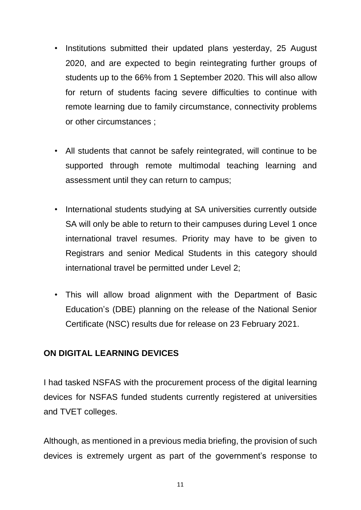- Institutions submitted their updated plans yesterday, 25 August 2020, and are expected to begin reintegrating further groups of students up to the 66% from 1 September 2020. This will also allow for return of students facing severe difficulties to continue with remote learning due to family circumstance, connectivity problems or other circumstances ;
- All students that cannot be safely reintegrated, will continue to be supported through remote multimodal teaching learning and assessment until they can return to campus;
- International students studying at SA universities currently outside SA will only be able to return to their campuses during Level 1 once international travel resumes. Priority may have to be given to Registrars and senior Medical Students in this category should international travel be permitted under Level 2;
- This will allow broad alignment with the Department of Basic Education's (DBE) planning on the release of the National Senior Certificate (NSC) results due for release on 23 February 2021.

#### **ON DIGITAL LEARNING DEVICES**

I had tasked NSFAS with the procurement process of the digital learning devices for NSFAS funded students currently registered at universities and TVET colleges.

Although, as mentioned in a previous media briefing, the provision of such devices is extremely urgent as part of the government's response to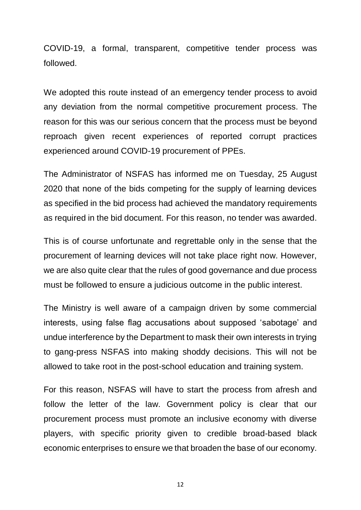COVID-19, a formal, transparent, competitive tender process was followed.

We adopted this route instead of an emergency tender process to avoid any deviation from the normal competitive procurement process. The reason for this was our serious concern that the process must be beyond reproach given recent experiences of reported corrupt practices experienced around COVID-19 procurement of PPEs.

The Administrator of NSFAS has informed me on Tuesday, 25 August 2020 that none of the bids competing for the supply of learning devices as specified in the bid process had achieved the mandatory requirements as required in the bid document. For this reason, no tender was awarded.

This is of course unfortunate and regrettable only in the sense that the procurement of learning devices will not take place right now. However, we are also quite clear that the rules of good governance and due process must be followed to ensure a judicious outcome in the public interest.

The Ministry is well aware of a campaign driven by some commercial interests, using false flag accusations about supposed 'sabotage' and undue interference by the Department to mask their own interests in trying to gang-press NSFAS into making shoddy decisions. This will not be allowed to take root in the post-school education and training system.

For this reason, NSFAS will have to start the process from afresh and follow the letter of the law. Government policy is clear that our procurement process must promote an inclusive economy with diverse players, with specific priority given to credible broad-based black economic enterprises to ensure we that broaden the base of our economy.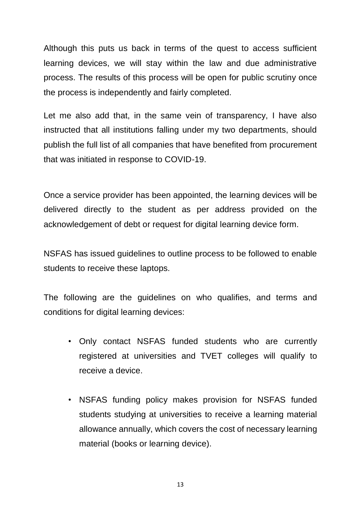Although this puts us back in terms of the quest to access sufficient learning devices, we will stay within the law and due administrative process. The results of this process will be open for public scrutiny once the process is independently and fairly completed.

Let me also add that, in the same vein of transparency, I have also instructed that all institutions falling under my two departments, should publish the full list of all companies that have benefited from procurement that was initiated in response to COVID-19.

Once a service provider has been appointed, the learning devices will be delivered directly to the student as per address provided on the acknowledgement of debt or request for digital learning device form.

NSFAS has issued guidelines to outline process to be followed to enable students to receive these laptops.

The following are the guidelines on who qualifies, and terms and conditions for digital learning devices:

- Only contact NSFAS funded students who are currently registered at universities and TVET colleges will qualify to receive a device.
- NSFAS funding policy makes provision for NSFAS funded students studying at universities to receive a learning material allowance annually, which covers the cost of necessary learning material (books or learning device).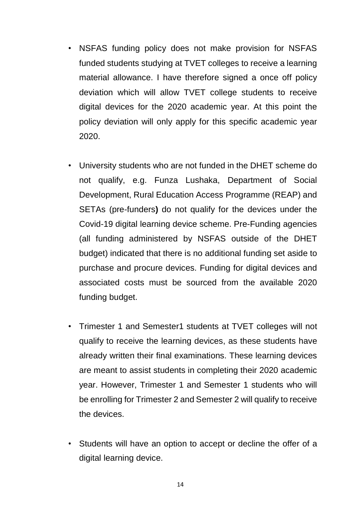- NSFAS funding policy does not make provision for NSFAS funded students studying at TVET colleges to receive a learning material allowance. I have therefore signed a once off policy deviation which will allow TVET college students to receive digital devices for the 2020 academic year. At this point the policy deviation will only apply for this specific academic year 2020.
- University students who are not funded in the DHET scheme do not qualify, e.g. Funza Lushaka, Department of Social Development, Rural Education Access Programme (REAP) and SETAs (pre-funders**)** do not qualify for the devices under the Covid-19 digital learning device scheme. Pre-Funding agencies (all funding administered by NSFAS outside of the DHET budget) indicated that there is no additional funding set aside to purchase and procure devices. Funding for digital devices and associated costs must be sourced from the available 2020 funding budget.
- Trimester 1 and Semester1 students at TVET colleges will not qualify to receive the learning devices, as these students have already written their final examinations. These learning devices are meant to assist students in completing their 2020 academic year. However, Trimester 1 and Semester 1 students who will be enrolling for Trimester 2 and Semester 2 will qualify to receive the devices.
- Students will have an option to accept or decline the offer of a digital learning device.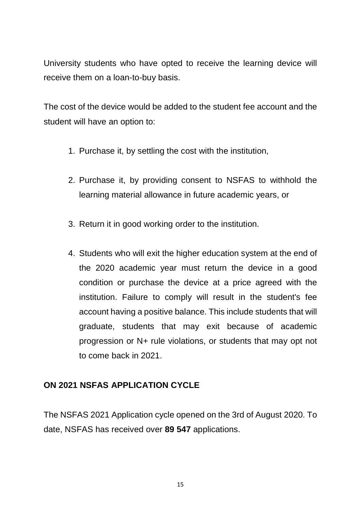University students who have opted to receive the learning device will receive them on a loan-to-buy basis.

The cost of the device would be added to the student fee account and the student will have an option to:

- 1. Purchase it, by settling the cost with the institution,
- 2. Purchase it, by providing consent to NSFAS to withhold the learning material allowance in future academic years, or
- 3. Return it in good working order to the institution.
- 4. Students who will exit the higher education system at the end of the 2020 academic year must return the device in a good condition or purchase the device at a price agreed with the institution. Failure to comply will result in the student's fee account having a positive balance. This include students that will graduate, students that may exit because of academic progression or N+ rule violations, or students that may opt not to come back in 2021.

#### **ON 2021 NSFAS APPLICATION CYCLE**

The NSFAS 2021 Application cycle opened on the 3rd of August 2020. To date, NSFAS has received over **89 547** applications.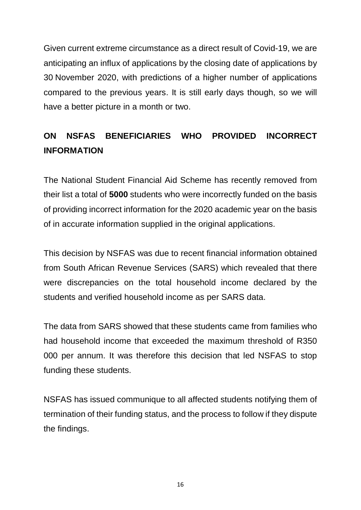Given current extreme circumstance as a direct result of Covid-19, we are anticipating an influx of applications by the closing date of applications by 30 November 2020, with predictions of a higher number of applications compared to the previous years. It is still early days though, so we will have a better picture in a month or two.

# **ON NSFAS BENEFICIARIES WHO PROVIDED INCORRECT INFORMATION**

The National Student Financial Aid Scheme has recently removed from their list a total of **5000** students who were incorrectly funded on the basis of providing incorrect information for the 2020 academic year on the basis of in accurate information supplied in the original applications.

This decision by NSFAS was due to recent financial information obtained from South African Revenue Services (SARS) which revealed that there were discrepancies on the total household income declared by the students and verified household income as per SARS data.

The data from SARS showed that these students came from families who had household income that exceeded the maximum threshold of R350 000 per annum. It was therefore this decision that led NSFAS to stop funding these students.

NSFAS has issued communique to all affected students notifying them of termination of their funding status, and the process to follow if they dispute the findings.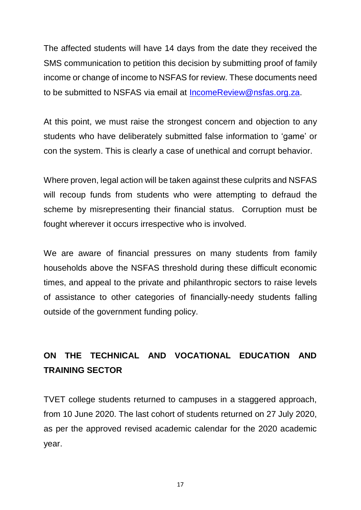The affected students will have 14 days from the date they received the SMS communication to petition this decision by submitting proof of family income or change of income to NSFAS for review. These documents need to be submitted to NSFAS via email at [IncomeReview@nsfas.org.za.](mailto:IncomeReview@nsfas.org.za)

At this point, we must raise the strongest concern and objection to any students who have deliberately submitted false information to 'game' or con the system. This is clearly a case of unethical and corrupt behavior.

Where proven, legal action will be taken against these culprits and NSFAS will recoup funds from students who were attempting to defraud the scheme by misrepresenting their financial status. Corruption must be fought wherever it occurs irrespective who is involved.

We are aware of financial pressures on many students from family households above the NSFAS threshold during these difficult economic times, and appeal to the private and philanthropic sectors to raise levels of assistance to other categories of financially-needy students falling outside of the government funding policy.

# **ON THE TECHNICAL AND VOCATIONAL EDUCATION AND TRAINING SECTOR**

TVET college students returned to campuses in a staggered approach, from 10 June 2020. The last cohort of students returned on 27 July 2020, as per the approved revised academic calendar for the 2020 academic year.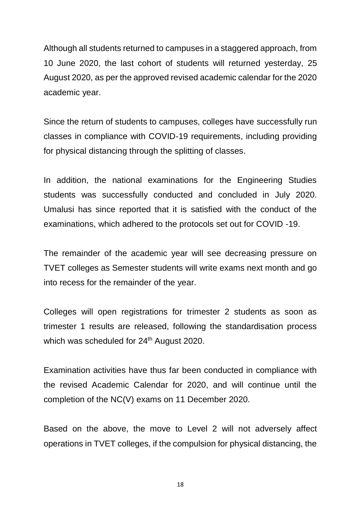Although all students returned to campuses in a staggered approach, from 10 June 2020, the last cohort of students will returned yesterday, 25 August 2020, as per the approved revised academic calendar for the 2020 academic year.

Since the return of students to campuses, colleges have successfully run classes in compliance with COVID-19 requirements, including providing for physical distancing through the splitting of classes.

In addition, the national examinations for the Engineering Studies students was successfully conducted and concluded in July 2020. Umalusi has since reported that it is satisfied with the conduct of the examinations, which adhered to the protocols set out for COVID -19.

The remainder of the academic year will see decreasing pressure on TVET colleges as Semester students will write exams next month and go into recess for the remainder of the year.

Colleges will open registrations for trimester 2 students as soon as trimester 1 results are released, following the standardisation process which was scheduled for 24<sup>th</sup> August 2020.

Examination activities have thus far been conducted in compliance with the revised Academic Calendar for 2020, and will continue until the completion of the NC(V) exams on 11 December 2020.

Based on the above, the move to Level 2 will not adversely affect operations in TVET colleges, if the compulsion for physical distancing, the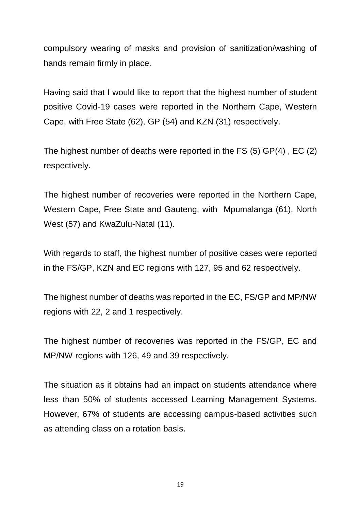compulsory wearing of masks and provision of sanitization/washing of hands remain firmly in place.

Having said that I would like to report that the highest number of student positive Covid-19 cases were reported in the Northern Cape, Western Cape, with Free State (62), GP (54) and KZN (31) respectively.

The highest number of deaths were reported in the FS (5) GP(4) , EC (2) respectively.

The highest number of recoveries were reported in the Northern Cape, Western Cape, Free State and Gauteng, with Mpumalanga (61), North West (57) and KwaZulu-Natal (11).

With regards to staff, the highest number of positive cases were reported in the FS/GP, KZN and EC regions with 127, 95 and 62 respectively.

The highest number of deaths was reported in the EC, FS/GP and MP/NW regions with 22, 2 and 1 respectively.

The highest number of recoveries was reported in the FS/GP, EC and MP/NW regions with 126, 49 and 39 respectively.

The situation as it obtains had an impact on students attendance where less than 50% of students accessed Learning Management Systems. However, 67% of students are accessing campus-based activities such as attending class on a rotation basis.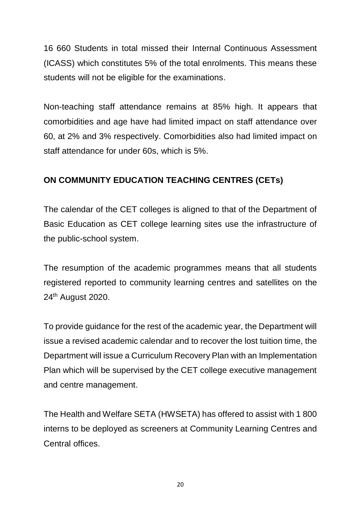16 660 Students in total missed their Internal Continuous Assessment (ICASS) which constitutes 5% of the total enrolments. This means these students will not be eligible for the examinations.

Non-teaching staff attendance remains at 85% high. It appears that comorbidities and age have had limited impact on staff attendance over 60, at 2% and 3% respectively. Comorbidities also had limited impact on staff attendance for under 60s, which is 5%.

## **ON COMMUNITY EDUCATION TEACHING CENTRES (CETs)**

The calendar of the CET colleges is aligned to that of the Department of Basic Education as CET college learning sites use the infrastructure of the public-school system.

The resumption of the academic programmes means that all students registered reported to community learning centres and satellites on the 24th August 2020.

To provide guidance for the rest of the academic year, the Department will issue a revised academic calendar and to recover the lost tuition time, the Department will issue a Curriculum Recovery Plan with an Implementation Plan which will be supervised by the CET college executive management and centre management.

The Health and Welfare SETA (HWSETA) has offered to assist with 1 800 interns to be deployed as screeners at Community Learning Centres and Central offices.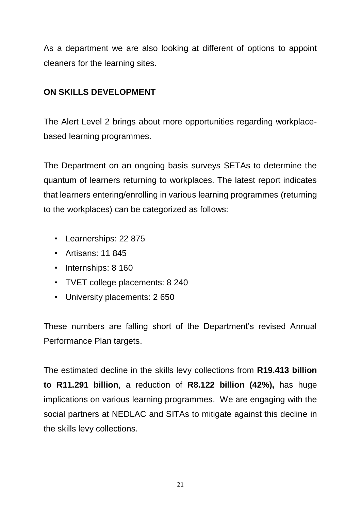As a department we are also looking at different of options to appoint cleaners for the learning sites.

# **ON SKILLS DEVELOPMENT**

The Alert Level 2 brings about more opportunities regarding workplacebased learning programmes.

The Department on an ongoing basis surveys SETAs to determine the quantum of learners returning to workplaces. The latest report indicates that learners entering/enrolling in various learning programmes (returning to the workplaces) can be categorized as follows:

- Learnerships: 22 875
- Artisans: 11 845
- Internships: 8 160
- TVET college placements: 8 240
- University placements: 2 650

These numbers are falling short of the Department's revised Annual Performance Plan targets.

The estimated decline in the skills levy collections from **R19.413 billion to R11.291 billion**, a reduction of **R8.122 billion (42%),** has huge implications on various learning programmes. We are engaging with the social partners at NEDLAC and SITAs to mitigate against this decline in the skills levy collections.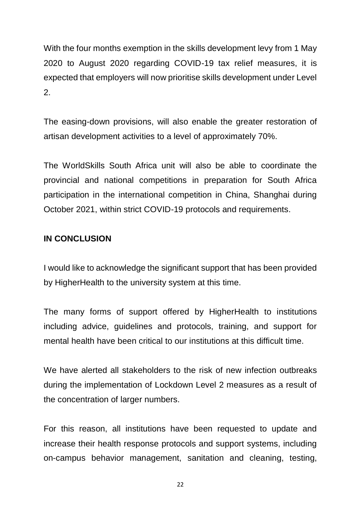With the four months exemption in the skills development levy from 1 May 2020 to August 2020 regarding COVID-19 tax relief measures, it is expected that employers will now prioritise skills development under Level 2.

The easing-down provisions, will also enable the greater restoration of artisan development activities to a level of approximately 70%.

The WorldSkills South Africa unit will also be able to coordinate the provincial and national competitions in preparation for South Africa participation in the international competition in China, Shanghai during October 2021, within strict COVID-19 protocols and requirements.

#### **IN CONCLUSION**

I would like to acknowledge the significant support that has been provided by HigherHealth to the university system at this time.

The many forms of support offered by HigherHealth to institutions including advice, guidelines and protocols, training, and support for mental health have been critical to our institutions at this difficult time.

We have alerted all stakeholders to the risk of new infection outbreaks during the implementation of Lockdown Level 2 measures as a result of the concentration of larger numbers.

For this reason, all institutions have been requested to update and increase their health response protocols and support systems, including on-campus behavior management, sanitation and cleaning, testing,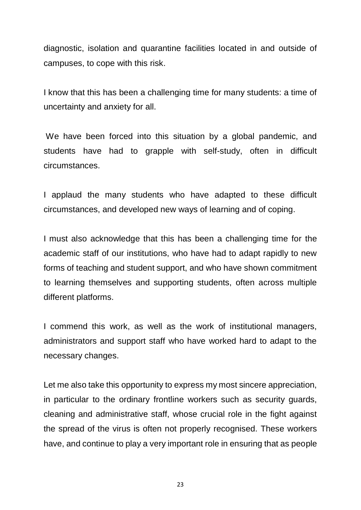diagnostic, isolation and quarantine facilities located in and outside of campuses, to cope with this risk.

I know that this has been a challenging time for many students: a time of uncertainty and anxiety for all.

We have been forced into this situation by a global pandemic, and students have had to grapple with self-study, often in difficult circumstances.

I applaud the many students who have adapted to these difficult circumstances, and developed new ways of learning and of coping.

I must also acknowledge that this has been a challenging time for the academic staff of our institutions, who have had to adapt rapidly to new forms of teaching and student support, and who have shown commitment to learning themselves and supporting students, often across multiple different platforms.

I commend this work, as well as the work of institutional managers, administrators and support staff who have worked hard to adapt to the necessary changes.

Let me also take this opportunity to express my most sincere appreciation, in particular to the ordinary frontline workers such as security guards, cleaning and administrative staff, whose crucial role in the fight against the spread of the virus is often not properly recognised. These workers have, and continue to play a very important role in ensuring that as people